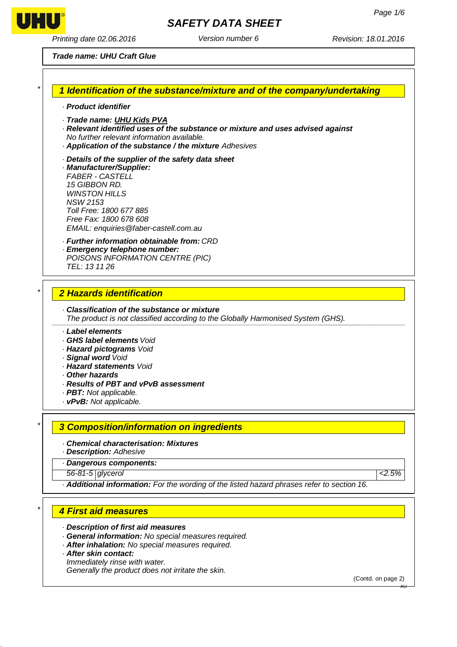

*Printing date 02.06.2016 Version number 6 Revision: 18.01.2016*

#### *Trade name: UHU Craft Glue*

#### *1 Identification of the substance/mixture and of the company/undertaking*

- *· Product identifier*
- *· Trade name: UHU Kids PVA*
- *· Relevant identified uses of the substance or mixture and uses advised against*
- *No further relevant information available.*
- *· Application of the substance / the mixture Adhesives*
- *· Details of the supplier of the safety data sheet*
- *· Manufacturer/Supplier: FABER - CASTELL 15 GIBBON RD. WINSTON HILLS NSW 2153 Toll Free: 1800 677 885 Free Fax: 1800 678 608 EMAIL: [enquiries@faber-castell.com.au](mailto:enquiries@faber-castell.com.au)*
- *· Further information obtainable from: CRD*
- *· Emergency telephone number:*
- *POISONS INFORMATION CENTRE (PIC) TEL: 13 11 26*

#### *2 Hazards identification*

- *· Classification of the substance or mixture The product is not classified according to the Globally Harmonised System (GHS).*
- *· Label elements*
- *· GHS label elements Void*
- *· Hazard pictograms Void*
- *· Signal word Void*
- *· Hazard statements Void*
- *· Other hazards*
- *· Results of PBT and vPvB assessment*
- *· PBT: Not applicable.*
- *· vPvB: Not applicable.*

# *3 Composition/information on ingredients*

#### *· Chemical characterisation: Mixtures*

- *· Description: Adhesive*
- *· Dangerous components:*
- *56-81-5 glycerol <2.5%*

*· Additional information: For the wording of the listed hazard phrases refer to section 16.*

# *4 First aid measures*

- *· Description of first aid measures*
- *· General information: No special measures required.*
- *· After inhalation: No special measures required.*
- *· After skin contact: Immediately rinse with water. Generally the product does not irritate the skin.*

(Contd. on page 2)



*\**

*\**

*\**

*\**

AU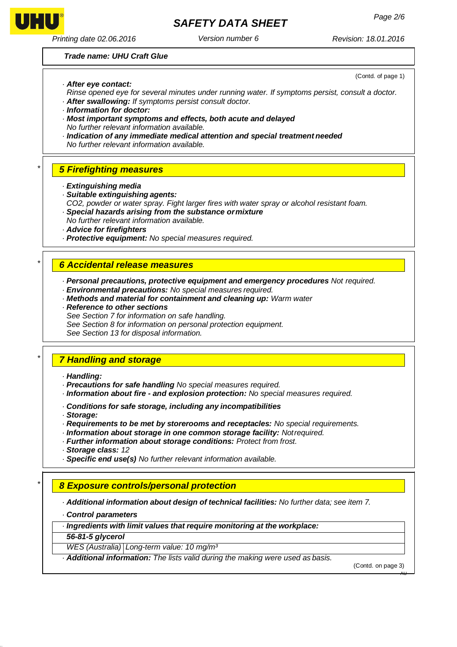

*\**

*\**

*\**

*\**

# *Page 2/6 SAFETY DATA SHEET*

*Printing date 02.06.2016 Version number 6 Revision: 18.01.2016*

(Contd. of page 1)

#### *Trade name: UHU Craft Glue*

- *· After eye contact:*
- *Rinse opened eye for several minutes under running water. If symptoms persist, consult a doctor. · After swallowing: If symptoms persist consult doctor.*
- *· Information for doctor:*
- *· Most important symptoms and effects, both acute and delayed No further relevant information available.*
- *· Indication of any immediate medical attention and special treatment needed No further relevant information available.*

### *5 Firefighting measures*

- *· Extinguishing media*
- *· Suitable extinguishing agents:*
- *CO2, powder or water spray. Fight larger fires with water spray or alcohol resistant foam. · Special hazards arising from the substance ormixture*
- *No further relevant information available.*
- *· Advice for firefighters*
- *· Protective equipment: No special measures required.*

### *6 Accidental release measures*

*· Personal precautions, protective equipment and emergency procedures Not required.*

- *· Environmental precautions: No special measures required.*
- *· Methods and material for containment and cleaning up: Warm water*
- *· Reference to other sections*
- *See Section 7 for information on safe handling.*

*See Section 8 for information on personal protection equipment.* 

*See Section 13 for disposal information.*

# *7 Handling and storage*

- *· Handling:*
- *· Precautions for safe handling No special measures required.*
- *· Information about fire - and explosion protection: No special measures required.*
- *· Conditions for safe storage, including any incompatibilities*
- *· Storage:*
- *· Requirements to be met by storerooms and receptacles: No special requirements.*
- *· Information about storage in one common storage facility: Notrequired.*
- *· Further information about storage conditions: Protect from frost.*
- *· Storage class: 12*
- *· Specific end use(s) No further relevant information available.*

# *8 Exposure controls/personal protection*

*· Additional information about design of technical facilities: No further data; see item 7.*

- *· Control parameters*
- *· Ingredients with limit values that require monitoring at the workplace:*

*56-81-5 glycerol*

*WES (Australia) Long-term value: 10 mg/m³*

*· Additional information: The lists valid during the making were used as basis.*

(Contd. on page 3)

AU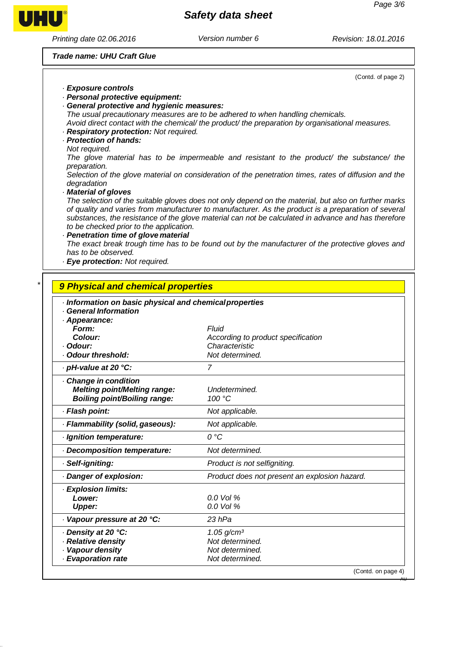# *Safety data sheet*

*Printing date 02.06.2016 Version number 6 Revision: 18.01.2016*

UHU®

*<i>·* Evaporation rate

*Trade name: UHU Craft Glue*

|                                                                                                                                                                                | (Contd. of page 2)                                                                                                                                                                                          |
|--------------------------------------------------------------------------------------------------------------------------------------------------------------------------------|-------------------------------------------------------------------------------------------------------------------------------------------------------------------------------------------------------------|
| · Exposure controls                                                                                                                                                            |                                                                                                                                                                                                             |
| · Personal protective equipment:                                                                                                                                               |                                                                                                                                                                                                             |
| · General protective and hygienic measures:                                                                                                                                    |                                                                                                                                                                                                             |
|                                                                                                                                                                                | The usual precautionary measures are to be adhered to when handling chemicals.<br>Avoid direct contact with the chemical/ the product/ the preparation by organisational measures.                          |
| · Respiratory protection: Not required.                                                                                                                                        |                                                                                                                                                                                                             |
| · Protection of hands:                                                                                                                                                         |                                                                                                                                                                                                             |
| Not required.                                                                                                                                                                  |                                                                                                                                                                                                             |
| preparation.                                                                                                                                                                   | The glove material has to be impermeable and resistant to the product/ the substance/ the                                                                                                                   |
|                                                                                                                                                                                | Selection of the glove material on consideration of the penetration times, rates of diffusion and the                                                                                                       |
| degradation                                                                                                                                                                    |                                                                                                                                                                                                             |
| Material of gloves                                                                                                                                                             |                                                                                                                                                                                                             |
|                                                                                                                                                                                | The selection of the suitable gloves does not only depend on the material, but also on further marks<br>of quality and varies from manufacturer to manufacturer. As the product is a preparation of several |
|                                                                                                                                                                                | substances, the resistance of the glove material can not be calculated in advance and has therefore                                                                                                         |
| to be checked prior to the application.                                                                                                                                        |                                                                                                                                                                                                             |
| · Penetration time of glove material                                                                                                                                           |                                                                                                                                                                                                             |
| has to be observed.                                                                                                                                                            | The exact break trough time has to be found out by the manufacturer of the protective gloves and                                                                                                            |
| · Eye protection: Not required.                                                                                                                                                |                                                                                                                                                                                                             |
|                                                                                                                                                                                |                                                                                                                                                                                                             |
| 9 Physical and chemical properties                                                                                                                                             |                                                                                                                                                                                                             |
|                                                                                                                                                                                |                                                                                                                                                                                                             |
| · Information on basic physical and chemical properties<br><b>General Information</b>                                                                                          |                                                                                                                                                                                                             |
| · Appearance:                                                                                                                                                                  |                                                                                                                                                                                                             |
| Form:                                                                                                                                                                          | Fluid                                                                                                                                                                                                       |
| Colour:                                                                                                                                                                        | According to product specification                                                                                                                                                                          |
| · Odour:<br>· Odour threshold:                                                                                                                                                 | Characteristic<br>Not determined.                                                                                                                                                                           |
|                                                                                                                                                                                |                                                                                                                                                                                                             |
| · pH-value at 20 °C:                                                                                                                                                           |                                                                                                                                                                                                             |
|                                                                                                                                                                                | $\overline{7}$                                                                                                                                                                                              |
| Change in condition                                                                                                                                                            |                                                                                                                                                                                                             |
| <b>Melting point/Melting range:</b>                                                                                                                                            | Undetermined.                                                                                                                                                                                               |
| <b>Boiling point/Boiling range:</b>                                                                                                                                            | 100 °C                                                                                                                                                                                                      |
|                                                                                                                                                                                | Not applicable.                                                                                                                                                                                             |
|                                                                                                                                                                                | Not applicable.                                                                                                                                                                                             |
|                                                                                                                                                                                | $O^{\circ}C$                                                                                                                                                                                                |
|                                                                                                                                                                                | Not determined.                                                                                                                                                                                             |
|                                                                                                                                                                                | Product is not selfigniting.                                                                                                                                                                                |
|                                                                                                                                                                                | Product does not present an explosion hazard.                                                                                                                                                               |
| · Flash point:<br>· Flammability (solid, gaseous):<br>· Ignition temperature:<br>Decomposition temperature:<br>· Self-igniting:<br>Danger of explosion:<br>· Explosion limits: |                                                                                                                                                                                                             |
| Lower:                                                                                                                                                                         | 0.0 Vol %                                                                                                                                                                                                   |
| <b>Upper:</b>                                                                                                                                                                  | 0.0 Vol %                                                                                                                                                                                                   |
|                                                                                                                                                                                | 23 hPa                                                                                                                                                                                                      |
|                                                                                                                                                                                | $1.05$ g/cm <sup>3</sup>                                                                                                                                                                                    |
| Vapour pressure at 20 °C:<br>· Density at 20 °C:<br>· Relative density                                                                                                         | Not determined.                                                                                                                                                                                             |
| · Vapour density<br>· Evaporation rate                                                                                                                                         | Not determined.<br>Not determined.                                                                                                                                                                          |

AU

(Contd. on page 4)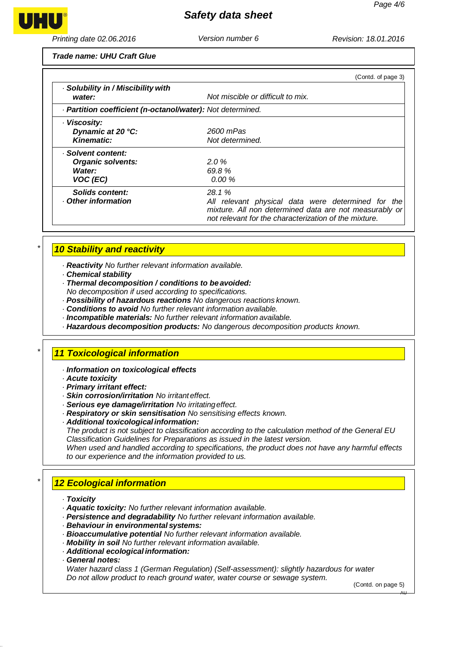*\**

*\**

*\**

*Safety data sheet*

*Printing date 02.06.2016 Version number 6 Revision: 18.01.2016*

*Trade name: UHU Craft Glue*

|                                                            | (Contd. of page 3)                                                                                                                                                    |
|------------------------------------------------------------|-----------------------------------------------------------------------------------------------------------------------------------------------------------------------|
| · Solubility in / Miscibility with<br>water:               | Not miscible or difficult to mix.                                                                                                                                     |
| · Partition coefficient (n-octanol/water): Not determined. |                                                                                                                                                                       |
| · Viscosity:                                               |                                                                                                                                                                       |
| Dynamic at 20 °C:                                          | 2600 mPas                                                                                                                                                             |
| <b>Kinematic:</b>                                          | Not determined.                                                                                                                                                       |
| · Solvent content:                                         |                                                                                                                                                                       |
| <b>Organic solvents:</b>                                   | $2.0\%$                                                                                                                                                               |
| Water:                                                     | 69.8%                                                                                                                                                                 |
| VOC (EC)                                                   | $0.00\%$                                                                                                                                                              |
| Solids content:                                            | 28.1%                                                                                                                                                                 |
| . Other information                                        | All relevant physical data were determined for the<br>mixture. All non determined data are not measurably or<br>not relevant for the characterization of the mixture. |

# *10 Stability and reactivity*

*· Reactivity No further relevant information available.*

- *· Chemical stability*
- *· Thermal decomposition / conditions to beavoided:*
- *No decomposition if used according to specifications.*
- *· Possibility of hazardous reactions No dangerous reactions known.*
- *· Conditions to avoid No further relevant information available.*
- *· Incompatible materials: No further relevant information available.*
- *· Hazardous decomposition products: No dangerous decomposition products known.*

# *11 Toxicological information*

- *· Information on toxicological effects*
- *· Acute toxicity*
- *· Primary irritant effect:*
- *· Skin corrosion/irritation No irritanteffect.*
- *· Serious eye damage/irritation No irritatingeffect.*
- *· Respiratory or skin sensitisation No sensitising effects known.*
- *· Additional toxicologicalinformation:*

*The product is not subject to classification according to the calculation method of the General EU Classification Guidelines for Preparations as issued in the latest version.*

*When used and handled according to specifications, the product does not have any harmful effects to our experience and the information provided to us.*

# *12 Ecological information*

- *· Toxicity*
- *· Aquatic toxicity: No further relevant information available.*
- *· Persistence and degradability No further relevant information available.*
- *· Behaviour in environmental systems:*
- *· Bioaccumulative potential No further relevant information available.*
- *· Mobility in soil No further relevant information available.*
- *· Additional ecological information:*
- *· General notes:*

*Water hazard class 1 (German Regulation) (Self-assessment): slightly hazardous for water Do not allow product to reach ground water, water course or sewage system.*

(Contd. on page 5)

AU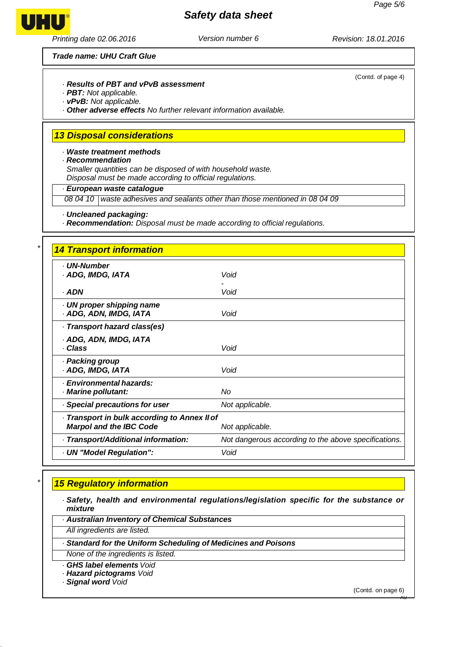# *Safety data sheet*

*Printing date 02.06.2016 Version number 6 Revision: 18.01.2016*

*Trade name: UHU Craft Glue*

#### *· Results of PBT and vPvB assessment*

- *· PBT: Not applicable.*
- *· vPvB: Not applicable.*

*· Other adverse effects No further relevant information available.*

# *13 Disposal considerations*

*· Waste treatment methods*

*· Recommendation*

*Smaller quantities can be disposed of with household waste. Disposal must be made according to official regulations.*

#### *· European waste catalogue*

*08 04 10 waste adhesives and sealants other than those mentioned in 08 04 09*

*· Uncleaned packaging:*

*· Recommendation: Disposal must be made according to official regulations.*

| <b>14 Transport information</b>                                                |                                                      |
|--------------------------------------------------------------------------------|------------------------------------------------------|
| <b>UN-Number</b><br>· ADG, IMDG, IATA                                          | Void                                                 |
| · ADN                                                                          | Void                                                 |
| UN proper shipping name<br>· ADG, ADN, IMDG, IATA                              | Void                                                 |
| Transport hazard class(es)                                                     |                                                      |
| · ADG, ADN, IMDG, IATA<br>· Class                                              | Void                                                 |
| · Packing group<br>· ADG, IMDG, IATA                                           | Void                                                 |
| · Environmental hazards:<br>· Marine pollutant:                                | No                                                   |
| Special precautions for user                                                   | Not applicable.                                      |
| · Transport in bulk according to Annex II of<br><b>Marpol and the IBC Code</b> | Not applicable.                                      |
| · Transport/Additional information:                                            | Not dangerous according to the above specifications. |
| · UN "Model Regulation":                                                       | Void                                                 |

# *15 Regulatory information*

*· Safety, health and environmental regulations/legislation specific for the substance or mixture*

*· Australian Inventory of Chemical Substances*

*All ingredients are listed.*

*· Standard for the Uniform Scheduling of Medicines and Poisons*

*None of the ingredients is listed.*

*· GHS label elements Void*

*· Hazard pictograms Void*

*· Signal word Void*

(Contd. on page 6)

AU



*\**

*\**

(Contd. of page 4)